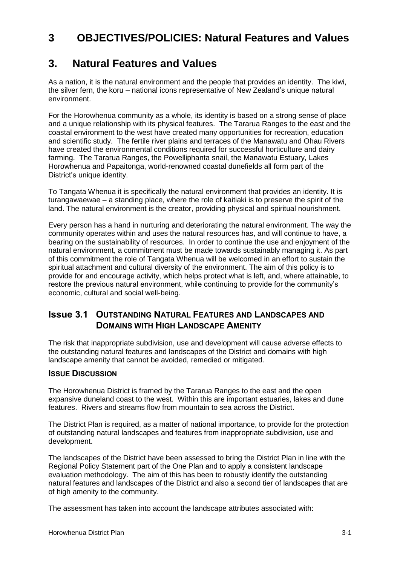# **3. Natural Features and Values**

As a nation, it is the natural environment and the people that provides an identity. The kiwi, the silver fern, the koru – national icons representative of New Zealand's unique natural environment.

For the Horowhenua community as a whole, its identity is based on a strong sense of place and a unique relationship with its physical features. The Tararua Ranges to the east and the coastal environment to the west have created many opportunities for recreation, education and scientific study. The fertile river plains and terraces of the Manawatu and Ohau Rivers have created the environmental conditions required for successful horticulture and dairy farming. The Tararua Ranges, the Powelliphanta snail, the Manawatu Estuary, Lakes Horowhenua and Papaitonga, world-renowned coastal dunefields all form part of the District's unique identity.

To Tangata Whenua it is specifically the natural environment that provides an identity. It is turangawaewae – a standing place, where the role of kaitiaki is to preserve the spirit of the land. The natural environment is the creator, providing physical and spiritual nourishment.

Every person has a hand in nurturing and deteriorating the natural environment. The way the community operates within and uses the natural resources has, and will continue to have, a bearing on the sustainability of resources. In order to continue the use and enjoyment of the natural environment, a commitment must be made towards sustainably managing it. As part of this commitment the role of Tangata Whenua will be welcomed in an effort to sustain the spiritual attachment and cultural diversity of the environment. The aim of this policy is to provide for and encourage activity, which helps protect what is left, and, where attainable, to restore the previous natural environment, while continuing to provide for the community's economic, cultural and social well-being.

## **Issue 3.1 OUTSTANDING NATURAL FEATURES AND LANDSCAPES AND DOMAINS WITH HIGH LANDSCAPE AMENITY**

The risk that inappropriate subdivision, use and development will cause adverse effects to the outstanding natural features and landscapes of the District and domains with high landscape amenity that cannot be avoided, remedied or mitigated.

## **ISSUE DISCUSSION**

The Horowhenua District is framed by the Tararua Ranges to the east and the open expansive duneland coast to the west. Within this are important estuaries, lakes and dune features. Rivers and streams flow from mountain to sea across the District.

The District Plan is required, as a matter of national importance, to provide for the protection of outstanding natural landscapes and features from inappropriate subdivision, use and development.

The landscapes of the District have been assessed to bring the District Plan in line with the Regional Policy Statement part of the One Plan and to apply a consistent landscape evaluation methodology. The aim of this has been to robustly identify the outstanding natural features and landscapes of the District and also a second tier of landscapes that are of high amenity to the community.

The assessment has taken into account the landscape attributes associated with: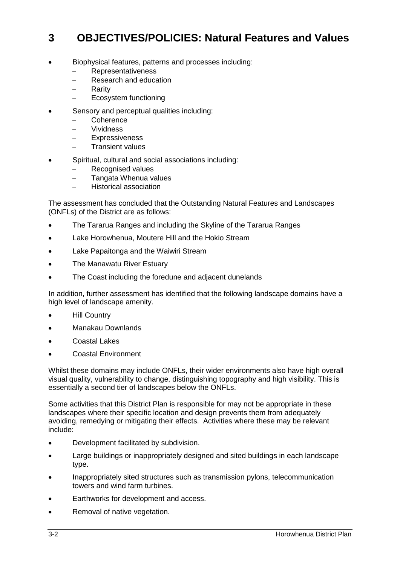- Biophysical features, patterns and processes including:
	- **Representativeness**
	- Research and education
	- Rarity
	- Ecosystem functioning
- Sensory and perceptual qualities including:
	- Coherence
	- Vividness
	- **Expressiveness**
	- Transient values
- Spiritual, cultural and social associations including:
	- Recognised values
	- Tangata Whenua values
	- Historical association

The assessment has concluded that the Outstanding Natural Features and Landscapes (ONFLs) of the District are as follows:

- The Tararua Ranges and including the Skyline of the Tararua Ranges
- Lake Horowhenua, Moutere Hill and the Hokio Stream
- Lake Papaitonga and the Waiwiri Stream
- The Manawatu River Estuary
- The Coast including the foredune and adjacent dunelands

In addition, further assessment has identified that the following landscape domains have a high level of landscape amenity.

- **•** Hill Country
- Manakau Downlands
- Coastal Lakes
- Coastal Environment

Whilst these domains may include ONFLs, their wider environments also have high overall visual quality, vulnerability to change, distinguishing topography and high visibility. This is essentially a second tier of landscapes below the ONFLs.

Some activities that this District Plan is responsible for may not be appropriate in these landscapes where their specific location and design prevents them from adequately avoiding, remedying or mitigating their effects. Activities where these may be relevant include:

- Development facilitated by subdivision.
- Large buildings or inappropriately designed and sited buildings in each landscape type.
- Inappropriately sited structures such as transmission pylons, telecommunication towers and wind farm turbines.
- Earthworks for development and access.
- Removal of native vegetation.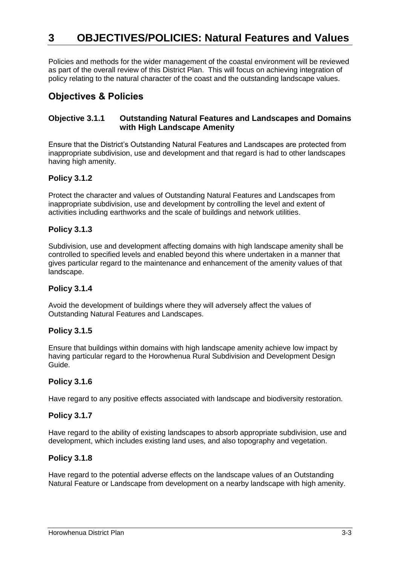Policies and methods for the wider management of the coastal environment will be reviewed as part of the overall review of this District Plan. This will focus on achieving integration of policy relating to the natural character of the coast and the outstanding landscape values.

## **Objectives & Policies**

#### **Objective 3.1.1 Outstanding Natural Features and Landscapes and Domains with High Landscape Amenity**

Ensure that the District's Outstanding Natural Features and Landscapes are protected from inappropriate subdivision, use and development and that regard is had to other landscapes having high amenity.

### **Policy 3.1.2**

Protect the character and values of Outstanding Natural Features and Landscapes from inappropriate subdivision, use and development by controlling the level and extent of activities including earthworks and the scale of buildings and network utilities.

#### **Policy 3.1.3**

Subdivision, use and development affecting domains with high landscape amenity shall be controlled to specified levels and enabled beyond this where undertaken in a manner that gives particular regard to the maintenance and enhancement of the amenity values of that landscape.

#### **Policy 3.1.4**

Avoid the development of buildings where they will adversely affect the values of Outstanding Natural Features and Landscapes.

#### **Policy 3.1.5**

Ensure that buildings within domains with high landscape amenity achieve low impact by having particular regard to the Horowhenua Rural Subdivision and Development Design Guide.

#### **Policy 3.1.6**

Have regard to any positive effects associated with landscape and biodiversity restoration.

#### **Policy 3.1.7**

Have regard to the ability of existing landscapes to absorb appropriate subdivision, use and development, which includes existing land uses, and also topography and vegetation.

#### **Policy 3.1.8**

Have regard to the potential adverse effects on the landscape values of an Outstanding Natural Feature or Landscape from development on a nearby landscape with high amenity.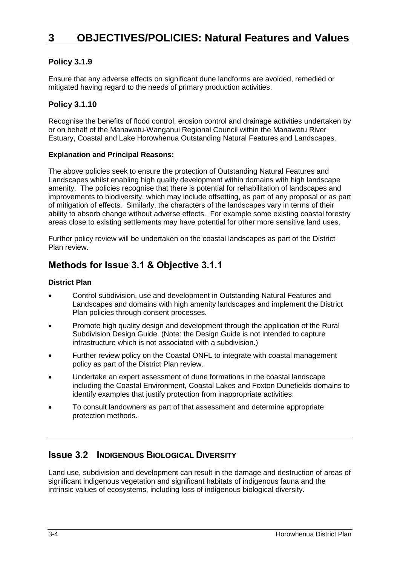## **Policy 3.1.9**

Ensure that any adverse effects on significant dune landforms are avoided, remedied or mitigated having regard to the needs of primary production activities.

## **Policy 3.1.10**

Recognise the benefits of flood control, erosion control and drainage activities undertaken by or on behalf of the Manawatu-Wanganui Regional Council within the Manawatu River Estuary, Coastal and Lake Horowhenua Outstanding Natural Features and Landscapes.

#### **Explanation and Principal Reasons:**

The above policies seek to ensure the protection of Outstanding Natural Features and Landscapes whilst enabling high quality development within domains with high landscape amenity. The policies recognise that there is potential for rehabilitation of landscapes and improvements to biodiversity, which may include offsetting, as part of any proposal or as part of mitigation of effects. Similarly, the characters of the landscapes vary in terms of their ability to absorb change without adverse effects. For example some existing coastal forestry areas close to existing settlements may have potential for other more sensitive land uses.

Further policy review will be undertaken on the coastal landscapes as part of the District Plan review.

# **Methods for Issue 3.1 & Objective 3.1.1**

#### **District Plan**

- Control subdivision, use and development in Outstanding Natural Features and Landscapes and domains with high amenity landscapes and implement the District Plan policies through consent processes.
- Promote high quality design and development through the application of the Rural Subdivision Design Guide. (Note: the Design Guide is not intended to capture infrastructure which is not associated with a subdivision.)
- Further review policy on the Coastal ONFL to integrate with coastal management policy as part of the District Plan review.
- Undertake an expert assessment of dune formations in the coastal landscape including the Coastal Environment, Coastal Lakes and Foxton Dunefields domains to identify examples that justify protection from inappropriate activities.
- To consult landowners as part of that assessment and determine appropriate protection methods.

## **Issue 3.2 INDIGENOUS BIOLOGICAL DIVERSITY**

Land use, subdivision and development can result in the damage and destruction of areas of significant indigenous vegetation and significant habitats of indigenous fauna and the intrinsic values of ecosystems, including loss of indigenous biological diversity.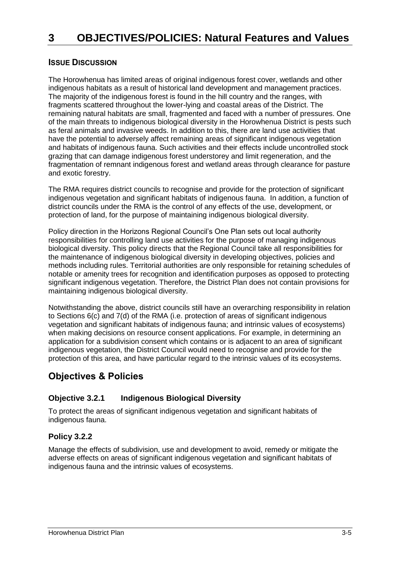## **ISSUE DISCUSSION**

The Horowhenua has limited areas of original indigenous forest cover, wetlands and other indigenous habitats as a result of historical land development and management practices. The majority of the indigenous forest is found in the hill country and the ranges, with fragments scattered throughout the lower-lying and coastal areas of the District. The remaining natural habitats are small, fragmented and faced with a number of pressures. One of the main threats to indigenous biological diversity in the Horowhenua District is pests such as feral animals and invasive weeds. In addition to this, there are land use activities that have the potential to adversely affect remaining areas of significant indigenous vegetation and habitats of indigenous fauna. Such activities and their effects include uncontrolled stock grazing that can damage indigenous forest understorey and limit regeneration, and the fragmentation of remnant indigenous forest and wetland areas through clearance for pasture and exotic forestry.

The RMA requires district councils to recognise and provide for the protection of significant indigenous vegetation and significant habitats of indigenous fauna. In addition, a function of district councils under the RMA is the control of any effects of the use, development, or protection of land, for the purpose of maintaining indigenous biological diversity.

Policy direction in the Horizons Regional Council's One Plan sets out local authority responsibilities for controlling land use activities for the purpose of managing indigenous biological diversity. This policy directs that the Regional Council take all responsibilities for the maintenance of indigenous biological diversity in developing objectives, policies and methods including rules. Territorial authorities are only responsible for retaining schedules of notable or amenity trees for recognition and identification purposes as opposed to protecting significant indigenous vegetation. Therefore, the District Plan does not contain provisions for maintaining indigenous biological diversity.

Notwithstanding the above, district councils still have an overarching responsibility in relation to Sections 6(c) and 7(d) of the RMA (i.e. protection of areas of significant indigenous vegetation and significant habitats of indigenous fauna; and intrinsic values of ecosystems) when making decisions on resource consent applications. For example, in determining an application for a subdivision consent which contains or is adjacent to an area of significant indigenous vegetation, the District Council would need to recognise and provide for the protection of this area, and have particular regard to the intrinsic values of its ecosystems.

# **Objectives & Policies**

## **Objective 3.2.1 Indigenous Biological Diversity**

To protect the areas of significant indigenous vegetation and significant habitats of indigenous fauna.

## **Policy 3.2.2**

Manage the effects of subdivision, use and development to avoid, remedy or mitigate the adverse effects on areas of significant indigenous vegetation and significant habitats of indigenous fauna and the intrinsic values of ecosystems.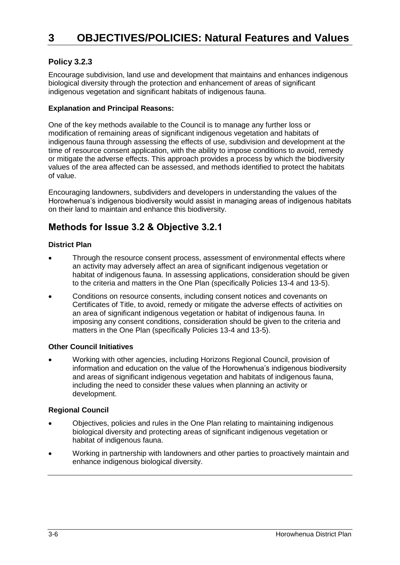## **Policy 3.2.3**

Encourage subdivision, land use and development that maintains and enhances indigenous biological diversity through the protection and enhancement of areas of significant indigenous vegetation and significant habitats of indigenous fauna.

#### **Explanation and Principal Reasons:**

One of the key methods available to the Council is to manage any further loss or modification of remaining areas of significant indigenous vegetation and habitats of indigenous fauna through assessing the effects of use, subdivision and development at the time of resource consent application, with the ability to impose conditions to avoid, remedy or mitigate the adverse effects. This approach provides a process by which the biodiversity values of the area affected can be assessed, and methods identified to protect the habitats of value.

Encouraging landowners, subdividers and developers in understanding the values of the Horowhenua's indigenous biodiversity would assist in managing areas of indigenous habitats on their land to maintain and enhance this biodiversity.

# **Methods for Issue 3.2 & Objective 3.2.1**

#### **District Plan**

- Through the resource consent process, assessment of environmental effects where an activity may adversely affect an area of significant indigenous vegetation or habitat of indigenous fauna. In assessing applications, consideration should be given to the criteria and matters in the One Plan (specifically Policies 13-4 and 13-5).
- Conditions on resource consents, including consent notices and covenants on Certificates of Title, to avoid, remedy or mitigate the adverse effects of activities on an area of significant indigenous vegetation or habitat of indigenous fauna. In imposing any consent conditions, consideration should be given to the criteria and matters in the One Plan (specifically Policies 13-4 and 13-5).

#### **Other Council Initiatives**

 Working with other agencies, including Horizons Regional Council, provision of information and education on the value of the Horowhenua's indigenous biodiversity and areas of significant indigenous vegetation and habitats of indigenous fauna, including the need to consider these values when planning an activity or development.

#### **Regional Council**

- Objectives, policies and rules in the One Plan relating to maintaining indigenous biological diversity and protecting areas of significant indigenous vegetation or habitat of indigenous fauna.
- Working in partnership with landowners and other parties to proactively maintain and enhance indigenous biological diversity.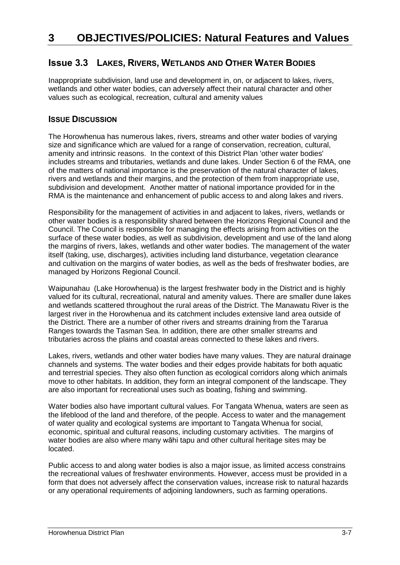## **Issue 3.3 LAKES, RIVERS, WETLANDS AND OTHER WATER BODIES**

Inappropriate subdivision, land use and development in, on, or adjacent to lakes, rivers, wetlands and other water bodies, can adversely affect their natural character and other values such as ecological, recreation, cultural and amenity values

### **ISSUE DISCUSSION**

The Horowhenua has numerous lakes, rivers, streams and other water bodies of varying size and significance which are valued for a range of conservation, recreation, cultural, amenity and intrinsic reasons. In the context of this District Plan 'other water bodies' includes streams and tributaries, wetlands and dune lakes. Under Section 6 of the RMA, one of the matters of national importance is the preservation of the natural character of lakes, rivers and wetlands and their margins, and the protection of them from inappropriate use, subdivision and development. Another matter of national importance provided for in the RMA is the maintenance and enhancement of public access to and along lakes and rivers.

Responsibility for the management of activities in and adjacent to lakes, rivers, wetlands or other water bodies is a responsibility shared between the Horizons Regional Council and the Council. The Council is responsible for managing the effects arising from activities on the surface of these water bodies, as well as subdivision, development and use of the land along the margins of rivers, lakes, wetlands and other water bodies. The management of the water itself (taking, use, discharges), activities including land disturbance, vegetation clearance and cultivation on the margins of water bodies, as well as the beds of freshwater bodies, are managed by Horizons Regional Council.

Waipunahau (Lake Horowhenua) is the largest freshwater body in the District and is highly valued for its cultural, recreational, natural and amenity values. There are smaller dune lakes and wetlands scattered throughout the rural areas of the District. The Manawatu River is the largest river in the Horowhenua and its catchment includes extensive land area outside of the District. There are a number of other rivers and streams draining from the Tararua Ranges towards the Tasman Sea. In addition, there are other smaller streams and tributaries across the plains and coastal areas connected to these lakes and rivers.

Lakes, rivers, wetlands and other water bodies have many values. They are natural drainage channels and systems. The water bodies and their edges provide habitats for both aquatic and terrestrial species. They also often function as ecological corridors along which animals move to other habitats. In addition, they form an integral component of the landscape. They are also important for recreational uses such as boating, fishing and swimming.

Water bodies also have important cultural values. For Tangata Whenua, waters are seen as the lifeblood of the land and therefore, of the people. Access to water and the management of water quality and ecological systems are important to Tangata Whenua for social, economic, spiritual and cultural reasons, including customary activities. The margins of water bodies are also where many wāhi tapu and other cultural heritage sites may be located.

Public access to and along water bodies is also a major issue, as limited access constrains the recreational values of freshwater environments. However, access must be provided in a form that does not adversely affect the conservation values, increase risk to natural hazards or any operational requirements of adjoining landowners, such as farming operations.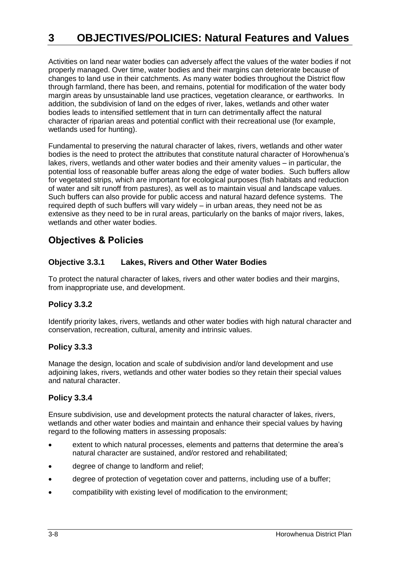Activities on land near water bodies can adversely affect the values of the water bodies if not properly managed. Over time, water bodies and their margins can deteriorate because of changes to land use in their catchments. As many water bodies throughout the District flow through farmland, there has been, and remains, potential for modification of the water body margin areas by unsustainable land use practices, vegetation clearance, or earthworks. In addition, the subdivision of land on the edges of river, lakes, wetlands and other water bodies leads to intensified settlement that in turn can detrimentally affect the natural character of riparian areas and potential conflict with their recreational use (for example, wetlands used for hunting).

Fundamental to preserving the natural character of lakes, rivers, wetlands and other water bodies is the need to protect the attributes that constitute natural character of Horowhenua's lakes, rivers, wetlands and other water bodies and their amenity values – in particular, the potential loss of reasonable buffer areas along the edge of water bodies. Such buffers allow for vegetated strips, which are important for ecological purposes (fish habitats and reduction of water and silt runoff from pastures), as well as to maintain visual and landscape values. Such buffers can also provide for public access and natural hazard defence systems. The required depth of such buffers will vary widely – in urban areas, they need not be as extensive as they need to be in rural areas, particularly on the banks of major rivers, lakes, wetlands and other water bodies.

# **Objectives & Policies**

### **Objective 3.3.1 Lakes, Rivers and Other Water Bodies**

To protect the natural character of lakes, rivers and other water bodies and their margins, from inappropriate use, and development.

## **Policy 3.3.2**

Identify priority lakes, rivers, wetlands and other water bodies with high natural character and conservation, recreation, cultural, amenity and intrinsic values.

#### **Policy 3.3.3**

Manage the design, location and scale of subdivision and/or land development and use adjoining lakes, rivers, wetlands and other water bodies so they retain their special values and natural character.

## **Policy 3.3.4**

Ensure subdivision, use and development protects the natural character of lakes, rivers, wetlands and other water bodies and maintain and enhance their special values by having regard to the following matters in assessing proposals:

- extent to which natural processes, elements and patterns that determine the area's natural character are sustained, and/or restored and rehabilitated;
- degree of change to landform and relief;
- degree of protection of vegetation cover and patterns, including use of a buffer;
- compatibility with existing level of modification to the environment;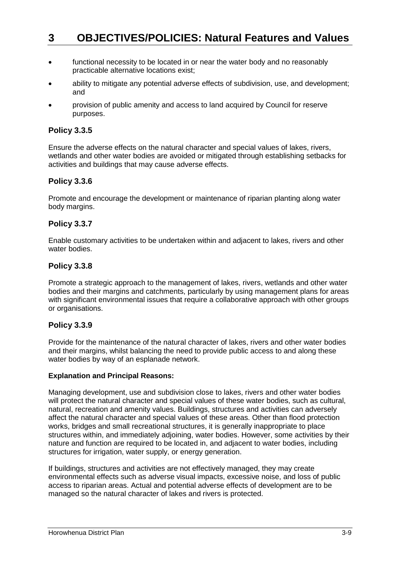- functional necessity to be located in or near the water body and no reasonably practicable alternative locations exist;
- ability to mitigate any potential adverse effects of subdivision, use, and development; and
- provision of public amenity and access to land acquired by Council for reserve purposes.

### **Policy 3.3.5**

Ensure the adverse effects on the natural character and special values of lakes, rivers, wetlands and other water bodies are avoided or mitigated through establishing setbacks for activities and buildings that may cause adverse effects.

#### **Policy 3.3.6**

Promote and encourage the development or maintenance of riparian planting along water body margins.

#### **Policy 3.3.7**

Enable customary activities to be undertaken within and adjacent to lakes, rivers and other water bodies.

#### **Policy 3.3.8**

Promote a strategic approach to the management of lakes, rivers, wetlands and other water bodies and their margins and catchments, particularly by using management plans for areas with significant environmental issues that require a collaborative approach with other groups or organisations.

#### **Policy 3.3.9**

Provide for the maintenance of the natural character of lakes, rivers and other water bodies and their margins, whilst balancing the need to provide public access to and along these water bodies by way of an esplanade network.

#### **Explanation and Principal Reasons:**

Managing development, use and subdivision close to lakes, rivers and other water bodies will protect the natural character and special values of these water bodies, such as cultural, natural, recreation and amenity values. Buildings, structures and activities can adversely affect the natural character and special values of these areas. Other than flood protection works, bridges and small recreational structures, it is generally inappropriate to place structures within, and immediately adjoining, water bodies. However, some activities by their nature and function are required to be located in, and adjacent to water bodies, including structures for irrigation, water supply, or energy generation.

If buildings, structures and activities are not effectively managed, they may create environmental effects such as adverse visual impacts, excessive noise, and loss of public access to riparian areas. Actual and potential adverse effects of development are to be managed so the natural character of lakes and rivers is protected.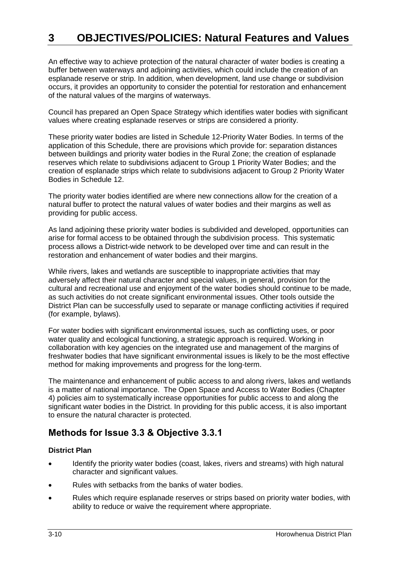An effective way to achieve protection of the natural character of water bodies is creating a buffer between waterways and adjoining activities, which could include the creation of an esplanade reserve or strip. In addition, when development, land use change or subdivision occurs, it provides an opportunity to consider the potential for restoration and enhancement of the natural values of the margins of waterways.

Council has prepared an Open Space Strategy which identifies water bodies with significant values where creating esplanade reserves or strips are considered a priority.

These priority water bodies are listed in Schedule 12-Priority Water Bodies. In terms of the application of this Schedule, there are provisions which provide for: separation distances between buildings and priority water bodies in the Rural Zone; the creation of esplanade reserves which relate to subdivisions adjacent to Group 1 Priority Water Bodies; and the creation of esplanade strips which relate to subdivisions adjacent to Group 2 Priority Water Bodies in Schedule 12.

The priority water bodies identified are where new connections allow for the creation of a natural buffer to protect the natural values of water bodies and their margins as well as providing for public access.

As land adjoining these priority water bodies is subdivided and developed, opportunities can arise for formal access to be obtained through the subdivision process. This systematic process allows a District-wide network to be developed over time and can result in the restoration and enhancement of water bodies and their margins.

While rivers, lakes and wetlands are susceptible to inappropriate activities that may adversely affect their natural character and special values, in general, provision for the cultural and recreational use and enjoyment of the water bodies should continue to be made, as such activities do not create significant environmental issues. Other tools outside the District Plan can be successfully used to separate or manage conflicting activities if required (for example, bylaws).

For water bodies with significant environmental issues, such as conflicting uses, or poor water quality and ecological functioning, a strategic approach is required. Working in collaboration with key agencies on the integrated use and management of the margins of freshwater bodies that have significant environmental issues is likely to be the most effective method for making improvements and progress for the long-term.

The maintenance and enhancement of public access to and along rivers, lakes and wetlands is a matter of national importance. The Open Space and Access to Water Bodies (Chapter 4) policies aim to systematically increase opportunities for public access to and along the significant water bodies in the District. In providing for this public access, it is also important to ensure the natural character is protected.

# **Methods for Issue 3.3 & Objective 3.3.1**

#### **District Plan**

- Identify the priority water bodies (coast, lakes, rivers and streams) with high natural character and significant values.
- Rules with setbacks from the banks of water bodies.
- Rules which require esplanade reserves or strips based on priority water bodies, with ability to reduce or waive the requirement where appropriate.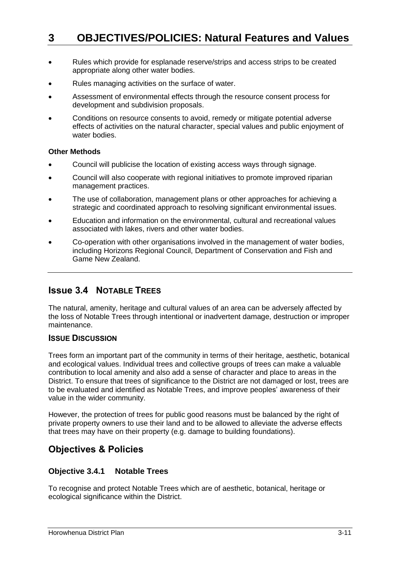- Rules which provide for esplanade reserve/strips and access strips to be created appropriate along other water bodies.
- Rules managing activities on the surface of water.
- Assessment of environmental effects through the resource consent process for development and subdivision proposals.
- Conditions on resource consents to avoid, remedy or mitigate potential adverse effects of activities on the natural character, special values and public enjoyment of water bodies.

#### **Other Methods**

- Council will publicise the location of existing access ways through signage.
- Council will also cooperate with regional initiatives to promote improved riparian management practices.
- The use of collaboration, management plans or other approaches for achieving a strategic and coordinated approach to resolving significant environmental issues.
- Education and information on the environmental, cultural and recreational values associated with lakes, rivers and other water bodies.
- Co-operation with other organisations involved in the management of water bodies, including Horizons Regional Council, Department of Conservation and Fish and Game New Zealand.

## **Issue 3.4 NOTABLE TREES**

The natural, amenity, heritage and cultural values of an area can be adversely affected by the loss of Notable Trees through intentional or inadvertent damage, destruction or improper maintenance.

#### **ISSUE DISCUSSION**

Trees form an important part of the community in terms of their heritage, aesthetic, botanical and ecological values. Individual trees and collective groups of trees can make a valuable contribution to local amenity and also add a sense of character and place to areas in the District. To ensure that trees of significance to the District are not damaged or lost, trees are to be evaluated and identified as Notable Trees, and improve peoples' awareness of their value in the wider community.

However, the protection of trees for public good reasons must be balanced by the right of private property owners to use their land and to be allowed to alleviate the adverse effects that trees may have on their property (e.g. damage to building foundations).

## **Objectives & Policies**

#### **Objective 3.4.1 Notable Trees**

To recognise and protect Notable Trees which are of aesthetic, botanical, heritage or ecological significance within the District.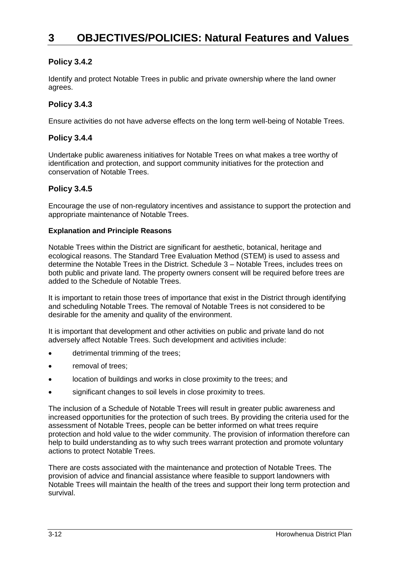## **Policy 3.4.2**

Identify and protect Notable Trees in public and private ownership where the land owner agrees.

## **Policy 3.4.3**

Ensure activities do not have adverse effects on the long term well-being of Notable Trees.

#### **Policy 3.4.4**

Undertake public awareness initiatives for Notable Trees on what makes a tree worthy of identification and protection, and support community initiatives for the protection and conservation of Notable Trees.

#### **Policy 3.4.5**

Encourage the use of non-regulatory incentives and assistance to support the protection and appropriate maintenance of Notable Trees.

#### **Explanation and Principle Reasons**

Notable Trees within the District are significant for aesthetic, botanical, heritage and ecological reasons. The Standard Tree Evaluation Method (STEM) is used to assess and determine the Notable Trees in the District. Schedule 3 – Notable Trees, includes trees on both public and private land. The property owners consent will be required before trees are added to the Schedule of Notable Trees.

It is important to retain those trees of importance that exist in the District through identifying and scheduling Notable Trees. The removal of Notable Trees is not considered to be desirable for the amenity and quality of the environment.

It is important that development and other activities on public and private land do not adversely affect Notable Trees. Such development and activities include:

- detrimental trimming of the trees;
- removal of trees;
- location of buildings and works in close proximity to the trees; and
- significant changes to soil levels in close proximity to trees.

The inclusion of a Schedule of Notable Trees will result in greater public awareness and increased opportunities for the protection of such trees. By providing the criteria used for the assessment of Notable Trees, people can be better informed on what trees require protection and hold value to the wider community. The provision of information therefore can help to build understanding as to why such trees warrant protection and promote voluntary actions to protect Notable Trees.

There are costs associated with the maintenance and protection of Notable Trees. The provision of advice and financial assistance where feasible to support landowners with Notable Trees will maintain the health of the trees and support their long term protection and survival.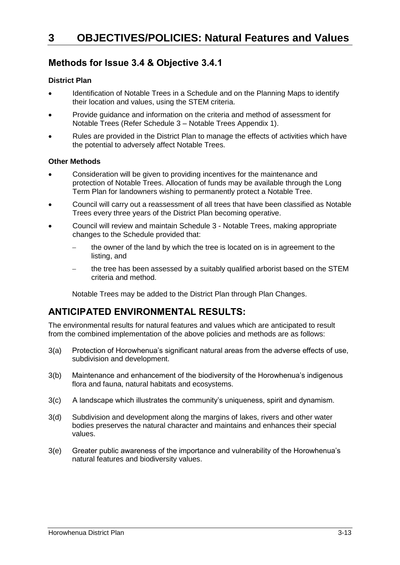# **Methods for Issue 3.4 & Objective 3.4.1**

#### **District Plan**

- Identification of Notable Trees in a Schedule and on the Planning Maps to identify their location and values, using the STEM criteria.
- Provide guidance and information on the criteria and method of assessment for Notable Trees (Refer Schedule 3 – Notable Trees Appendix 1).
- Rules are provided in the District Plan to manage the effects of activities which have the potential to adversely affect Notable Trees.

#### **Other Methods**

- Consideration will be given to providing incentives for the maintenance and protection of Notable Trees. Allocation of funds may be available through the Long Term Plan for landowners wishing to permanently protect a Notable Tree.
- Council will carry out a reassessment of all trees that have been classified as Notable Trees every three years of the District Plan becoming operative.
- Council will review and maintain Schedule 3 Notable Trees, making appropriate changes to the Schedule provided that:
	- the owner of the land by which the tree is located on is in agreement to the listing, and
	- the tree has been assessed by a suitably qualified arborist based on the STEM criteria and method.

Notable Trees may be added to the District Plan through Plan Changes.

# **ANTICIPATED ENVIRONMENTAL RESULTS:**

The environmental results for natural features and values which are anticipated to result from the combined implementation of the above policies and methods are as follows:

- 3(a) Protection of Horowhenua's significant natural areas from the adverse effects of use, subdivision and development.
- 3(b) Maintenance and enhancement of the biodiversity of the Horowhenua's indigenous flora and fauna, natural habitats and ecosystems.
- 3(c) A landscape which illustrates the community's uniqueness, spirit and dynamism.
- 3(d) Subdivision and development along the margins of lakes, rivers and other water bodies preserves the natural character and maintains and enhances their special values.
- 3(e) Greater public awareness of the importance and vulnerability of the Horowhenua's natural features and biodiversity values.